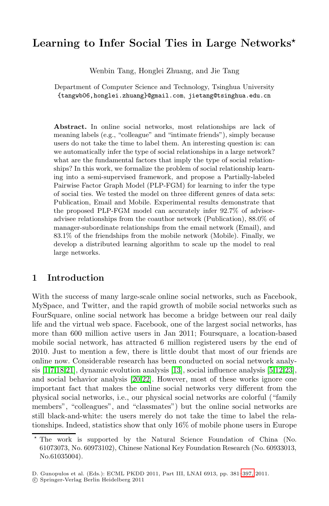# **Learning to Infer Social Ties in Large Networks***-*

Wenbin Tang, Honglei Zhuang, and Jie Tang

Department of Computer Science and Technology, Tsinghua University {tangwb06,honglei.zhuang}@gmail.com, jietang@tsinghua.edu.cn

**Abstract.** In online social networks, most relationships are lack of meaning labels (e.g., "colleague" and "intimate friends"), simply because users do not take the time to label them. An interesting question is: can we automatically infer the type of social relationships in a large network? what are the fundamental factors that imply the type of social relationships? In this work, we formalize the problem of social relationship learning into a semi-supervised framework, and propose a Partially-labeled Pairwise Factor Graph Model (PLP-FGM) for learning to infer the type of social ties. We tested the model on three different genres of data sets: Publication, Email and Mobile. Experimental results demonstrate that the proposed PLP-FGM model can accurately infer 92.7% of advisoradvisee relationships from the coauthor network (Publication), 88.0% of manager-subordinate relationships from the email network (Email), and 83.1% of the friendships from the mobile network (Mobile). Finally, we develop a distributed learning algorithm to scale up the model to real large networks.

### **1 Introduction**

With the success of many large-scale online social networks, such as Facebook, MySpace, and Twitter, and the rapid growth of mobile social networks such as FourSquare, online social network has become a bridge between our real daily life and the virtual web space. Facebook, one of the largest social networks, has more than 600 million active users in Jan 2011; Foursquare, a location-based mobile social network, has attracted 6 million registered users by the end of 2010. Just to mention a few, there is little doubt that most of our friends are online now. Considerable research has been conducted on social network analysis  $[1,7,18,21]$  $[1,7,18,21]$  $[1,7,18,21]$  $[1,7,18,21]$ , dynamic evolution analysis  $[13]$ , social influence analysis  $[5,12,23]$  $[5,12,23]$  $[5,12,23]$ , and social behavior analysis [\[20,](#page-15-2)[22\]](#page-15-3). However, most of these works ignore one important fact that makes the online social networks very different from the physical social networks, i.e., our physical social networks are colorful ("family members", "colleagues", and "classmates") but the online social networks are still black-and-white: the users merely do not take the time to label the relationships. Indeed, statistics show that only 16% of mobile phone users in Europe

<sup>\*</sup> The work is supported by the Natural Science Foundation of China (No. 61073073, No. 60973102), Chinese National Key Foundation Research (No. 60933013, No.61035004).

D. Gunopulos et al. (Eds.): ECML PKDD 2011, Part III, LNAI 6913, pp. 381[–397,](#page-16-0) 2011.

<sup>-</sup>c Springer-Verlag Berlin Heidelberg 2011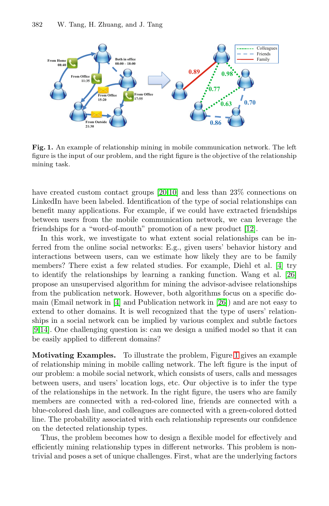<span id="page-1-0"></span>

**Fig. 1.** An example of relationship mining in mobile communication network. The left figure is the input of our problem, and the right figure is the objective of the relationship mining task.

have created custom contact groups [\[20,](#page-15-2)[10\]](#page-14-6) and less than 23\% connections on LinkedIn have been labeled. Identification of the type of social relationships can benefit many applications. For example, if we could have extracted friendships between users from the mobile communication network, we can leverage the friendships for a "word-of-mouth" promotion of a new product [\[12\]](#page-14-5).

In this work, we investigate to what extent social relationships can be inferred from the online social networks: E.g., given users' behavior history and interactions between users, can we estimate how likely they are to be family members? There exist a few related studies. For example, Diehl et al. [\[4\]](#page-14-7) try to identify the relationships by learning a ranking function. Wang et al. [\[26\]](#page-15-4) propose an unsupervised algorithm for mining the advisor-advisee relationships from the publication network. However, both algorithms focus on a specific domain (Email network in [\[4\]](#page-14-7) and Publication network in [\[26\]](#page-15-4)) and are not easy to extend to other domains. It is well recognized that the type of users' relationships in a social network can be implied by various complex and subtle factors [\[9,](#page-14-8)[14\]](#page-14-9). One challenging question is: can we design a unified model so that it can be easily applied to different domains?

**Motivating Examples.** To illustrate the problem, Figure [1](#page-1-0) gives an example of relationship mining in mobile calling network. The left figure is the input of our problem: a mobile social network, which consists of users, calls and messages between users, and users' location logs, etc. Our objective is to infer the type of the relationships in the network. In the right figure, the users who are family members are connected with a red-colored line, friends are connected with a blue-colored dash line, and colleagues are connected with a green-colored dotted line. The probability associated with each relationship represents our confidence on the detected relationship types.

Thus, the problem becomes how to design a flexible model for effectively and efficiently mining relationship types in different networks. This problem is nontrivial and poses a set of unique challenges. First, what are the underlying factors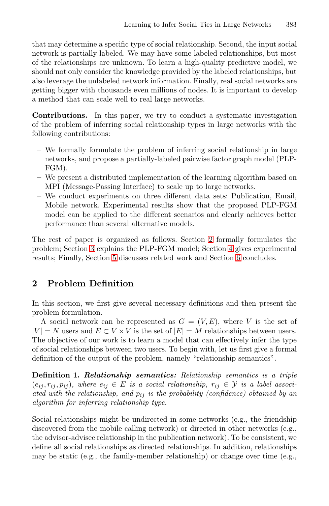that may determine a specific type of social relationship. Second, the input social network is partially labeled. We may have some labeled relationships, but most of the relationships are unknown. To learn a high-quality predictive model, we should not only consider the knowledge provided by the labeled relationships, but also leverage the unlabeled network information. Finally, real social networks are getting bigger with thousands even millions of nodes. It is important to develop a method that can scale well to real large networks.

**Contributions.** In this paper, we try to conduct a systematic investigation of the problem of inferring social relationship types in large networks with the following contributions:

- **–** We formally formulate the problem of inferring social relationship in large networks, and propose a partially-labeled pairwise factor graph model (PLP-FGM).
- **–** We present a distributed implementation of the learning algorithm based on MPI (Message-Passing Interface) to scale up to large networks.
- **–** We conduct experiments on three different data sets: Publication, Email, Mobile network. Experimental results show that the proposed PLP-FGM model can be applied to the different scenarios and clearly achieves better performance than several alternative models.

The rest of paper is organized as follows. Section [2](#page-2-0) formally formulates the problem; Section [3](#page-3-0) explains the PLP-FGM model; Section [4](#page-8-0) gives experimental results; Finally, Section [5](#page-13-0) discusses related work and Section [6](#page-13-1) concludes.

## <span id="page-2-0"></span>**2 Problem Definition**

In this section, we first give several necessary definitions and then present the problem formulation.

A social network can be represented as  $G = (V, E)$ , where V is the set of  $|V| = N$  users and  $E \subset V \times V$  is the set of  $|E| = M$  relationships between users. The objective of our work is to learn a model that can effectively infer the type of social relationships between two users. To begin with, let us first give a formal definition of the output of the problem, namely "relationship semantics".

**Definition 1.** *Relationship semantics: Relationship semantics is a triple*  $(e_{ij}, r_{ij}, p_{ij})$ *, where*  $e_{ij} \in E$  *is a social relationship,*  $r_{ij} \in Y$  *is a label associated with the relationship, and*  $p_{ij}$  *is the probability (confidence) obtained by an algorithm for inferring relationship type.*

Social relationships might be undirected in some networks (e.g., the friendship discovered from the mobile calling network) or directed in other networks (e.g., the advisor-advisee relationship in the publication network). To be consistent, we define all social relationships as directed relationships. In addition, relationships may be static (e.g., the family-member relationship) or change over time (e.g.,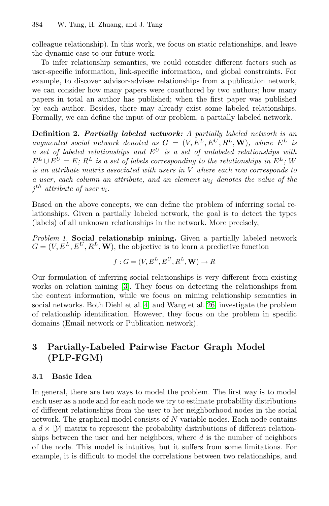colleague relationship). In this work, we focus on static relationships, and leave the dynamic case to our future work.

To infer relationship semantics, we could consider different factors such as user-specific information, link-specific information, and global constraints. For example, to discover advisor-advisee relationships from a publication network, we can consider how many papers were coauthored by two authors; how many papers in total an author has published; when the first paper was published by each author. Besides, there may already exist some labeled relationships. Formally, we can define the input of our problem, a partially labeled network.

**Definition 2.** *Partially labeled network: A partially labeled network is an augmented social network denoted as*  $G = (V, E^L, E^U, R^L, \mathbf{W})$ *, where*  $E^L$  *is a set of labeled relationships and* E<sup>U</sup> *is a set of unlabeled relationships with*  $E^L \cup E^U = E$ ;  $R^L$  *is a set of labels corresponding to the relationships in*  $E^L$ ; W *is an attribute matrix associated with users in* V *where each row corresponds to a user, each column an attribute, and an element* wij *denotes the value of the*  $i^{th}$  *attribute of user*  $v_i$ .

Based on the above concepts, we can define the problem of inferring social relationships. Given a partially labeled network, the goal is to detect the types (labels) of all unknown relationships in the network. More precisely,

*Problem 1.* **Social relationship mining.** Given a partially labeled network  $G = (V, E^L, E^U, R^L, \mathbf{W})$ , the objective is to learn a predictive function

$$
f: G = (V, E^L, E^U, R^L, \mathbf{W}) \to R
$$

Our formulation of inferring social relationships is very different from existing works on relation mining [\[3\]](#page-14-10). They focus on detecting the relationships from the content information, while we focus on mining relationship semantics in social networks. Both Diehl et al.[\[4\]](#page-14-7) and Wang et al.[\[26\]](#page-15-4) investigate the problem of relationship identification. However, they focus on the problem in specific domains (Email network or Publication network).

### <span id="page-3-0"></span>**3 Partially-Labeled Pairwise Factor Graph Model (PLP-FGM)**

#### **3.1 Basic Idea**

In general, there are two ways to model the problem. The first way is to model each user as a node and for each node we try to estimate probability distributions of different relationships from the user to her neighborhood nodes in the social network. The graphical model consists of  $N$  variable nodes. Each node contains a  $d \times |\mathcal{Y}|$  matrix to represent the probability distributions of different relationships between the user and her neighbors, where  $d$  is the number of neighbors of the node. This model is intuitive, but it suffers from some limitations. For example, it is difficult to model the correlations between two relationships, and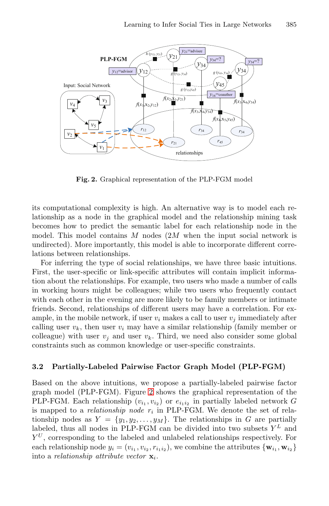<span id="page-4-0"></span>

**Fig. 2.** Graphical representation of the PLP-FGM model

its computational complexity is high. An alternative way is to model each relationship as a node in the graphical model and the relationship mining task becomes how to predict the semantic label for each relationship node in the model. This model contains  $M$  nodes  $(2M)$  when the input social network is undirected). More importantly, this model is able to incorporate different correlations between relationships.

For inferring the type of social relationships, we have three basic intuitions. First, the user-specific or link-specific attributes will contain implicit information about the relationships. For example, two users who made a number of calls in working hours might be colleagues; while two users who frequently contact with each other in the evening are more likely to be family members or intimate friends. Second, relationships of different users may have a correlation. For example, in the mobile network, if user  $v_i$  makes a call to user  $v_j$  immediately after calling user  $v_k$ , then user  $v_i$  may have a similar relationship (family member or colleague) with user  $v_i$  and user  $v_k$ . Third, we need also consider some global constraints such as common knowledge or user-specific constraints.

#### **3.2 Partially-Labeled Pairwise Factor Graph Model (PLP-FGM)**

Based on the above intuitions, we propose a partially-labeled pairwise factor graph model (PLP-FGM). Figure [2](#page-4-0) shows the graphical representation of the PLP-FGM. Each relationship  $(v_{i_1}, v_{i_2})$  or  $e_{i_1 i_2}$  in partially labeled network G is mapped to a *relationship node*  $r_i$  in PLP-FGM. We denote the set of relationship nodes as  $Y = \{y_1, y_2, \ldots, y_M\}$ . The relationships in G are partially labeled, thus all nodes in PLP-FGM can be divided into two subsets  $Y<sup>L</sup>$  and  $Y^U$ , corresponding to the labeled and unlabeled relationships respectively. For each relationship node  $y_i = (v_{i_1}, v_{i_2}, r_{i_1 i_2})$ , we combine the attributes  $\{w_{i_1}, w_{i_2}\}$ into a *relationship attribute vector* **x**i.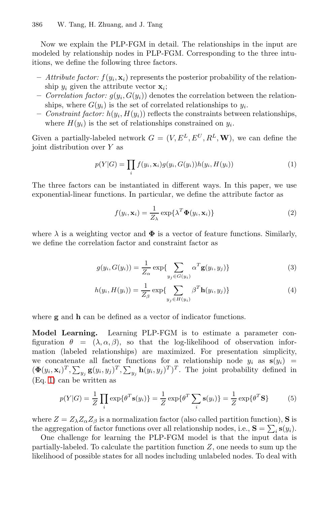Now we explain the PLP-FGM in detail. The relationships in the input are modeled by relationship nodes in PLP-FGM. Corresponding to the three intuitions, we define the following three factors.

- $\mathcal{L}$   *Attribute factor:*  $f(y_i, \mathbf{x}_i)$  represents the posterior probability of the relationship  $y_i$  given the attribute vector  $\mathbf{x}_i$ ;
- *Correlation factor:*  $g(y_i, G(y_i))$  denotes the correlation between the relationships, where  $G(y_i)$  is the set of correlated relationships to  $y_i$ .
- $\sim$  *Constraint factor:*  $h(y_i, H(y_i))$  reflects the constraints between relationships, where  $H(y_i)$  is the set of relationships constrained on  $y_i$ .

<span id="page-5-0"></span>Given a partially-labeled network  $G = (V, E^L, E^U, R^L, W)$ , we can define the joint distribution over  $Y$  as

$$
p(Y|G) = \prod_i f(y_i, \mathbf{x}_i)g(y_i, G(y_i))h(y_i, H(y_i))
$$
\n<sup>(1)</sup>

The three factors can be instantiated in different ways. In this paper, we use exponential-linear functions. In particular, we define the attribute factor as

$$
f(y_i, \mathbf{x}_i) = \frac{1}{Z_{\lambda}} \exp\{\lambda^T \mathbf{\Phi}(y_i, \mathbf{x}_i)\}\tag{2}
$$

where  $\lambda$  is a weighting vector and  $\Phi$  is a vector of feature functions. Similarly, we define the correlation factor and constraint factor as

$$
g(y_i, G(y_i)) = \frac{1}{Z_{\alpha}} \exp\left\{\sum_{y_j \in G(y_i)} \alpha^T \mathbf{g}(y_i, y_j)\right\}
$$
(3)

$$
h(y_i, H(y_i)) = \frac{1}{Z_{\beta}} \exp\{\sum_{y_j \in H(y_i)} \beta^T \mathbf{h}(y_i, y_j)\}
$$
(4)

where **g** and **h** can be defined as a vector of indicator functions.

**Model Learning.** Learning PLP-FGM is to estimate a parameter configuration  $\theta = (\lambda, \alpha, \beta)$ , so that the log-likelihood of observation information (labeled relationships) are maximized. For presentation simplicity, we concatenate all factor functions for a relationship node  $y_i$  as  $s(y_i)$  =  $(\Phi(y_i, \mathbf{x}_i)^T, \sum_{y_j} \mathbf{g}(y_i, y_j)^T, \sum_{y_j} \mathbf{h}(y_i, y_j)^T)^T$ . The joint probability defined in (Eq. [1\)](#page-5-0) can be written as

$$
p(Y|G) = \frac{1}{Z} \prod_{i} \exp\{\theta^T \mathbf{s}(y_i)\} = \frac{1}{Z} \exp\{\theta^T \sum_{i} \mathbf{s}(y_i)\} = \frac{1}{Z} \exp\{\theta^T \mathbf{S}\}
$$
(5)

where  $Z = Z_{\lambda}Z_{\alpha}Z_{\beta}$  is a normalization factor (also called partition function), **S** is the aggregation of factor functions over all relationship nodes, i.e.,  $\mathbf{S} = \sum_i \mathbf{s}(y_i)$ .

One challenge for learning the PLP-FGM model is that the input data is partially-labeled. To calculate the partition function  $Z$ , one needs to sum up the likelihood of possible states for all nodes including unlabeled nodes. To deal with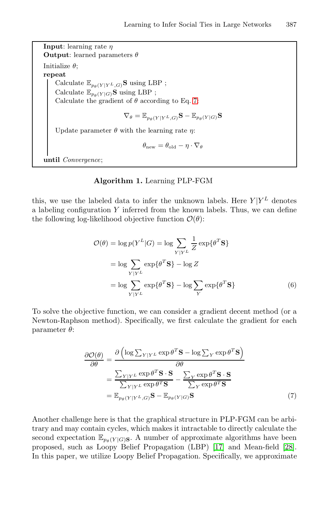<span id="page-6-1"></span>**Input**: learning rate η **Output**: learned parameters θ Initialize  $\theta$ ;<br>repeat Calculate  $\mathbb{E}_{p_{\theta}(Y | Y^L, G)}$ **S** using LBP ; Calculate  $\mathbb{E}_{p_{\theta}(Y|G)}$ **S** using LBP ; Calculate the gradient of  $\theta$  according to Eq. [7:](#page-6-0)  $\nabla_{\theta} = \mathbb{E}_{p_{\theta}(Y|Y^L,G)} \mathbf{S} - \mathbb{E}_{p_{\theta}(Y|G)} \mathbf{S}$ Update parameter  $\theta$  with the learning rate  $\eta$ :  $\theta_{\text{new}} = \theta_{\text{old}} - \eta \cdot \nabla_{\theta}$ **until** *Convergence*;

#### **Algorithm 1.** Learning PLP-FGM

this, we use the labeled data to infer the unknown labels. Here  $Y|Y^L$  denotes a labeling configuration  $Y$  inferred from the known labels. Thus, we can define the following log-likelihood objective function  $\mathcal{O}(\theta)$ :

$$
\mathcal{O}(\theta) = \log p(Y^L | G) = \log \sum_{Y | Y^L} \frac{1}{Z} \exp{\theta^T \mathbf{S}}
$$
  
=  $\log \sum_{Y | Y^L} \exp{\theta^T \mathbf{S}} - \log Z$   
=  $\log \sum_{Y | Y^L} \exp{\theta^T \mathbf{S}} - \log \sum_{Y} \exp{\theta^T \mathbf{S}}$  (6)

To solve the objective function, we can consider a gradient decent method (or a Newton-Raphson method). Specifically, we first calculate the gradient for each parameter  $\theta$ :

<span id="page-6-0"></span>
$$
\frac{\partial \mathcal{O}(\theta)}{\partial \theta} = \frac{\partial \left( \log \sum_{Y|Y^L} \exp \theta^T \mathbf{S} - \log \sum_{Y} \exp \theta^T \mathbf{S} \right)}{\partial \theta} \n= \frac{\sum_{Y|Y^L} \exp \theta^T \mathbf{S} \cdot \mathbf{S}}{\sum_{Y|Y^L} \exp \theta^T \mathbf{S}} - \frac{\sum_{Y} \exp \theta^T \mathbf{S} \cdot \mathbf{S}}{\sum_{Y} \exp \theta^T \mathbf{S}} \n= \mathbb{E}_{p_{\theta}(Y|Y^L, G)} \mathbf{S} - \mathbb{E}_{p_{\theta}(Y|G)} \mathbf{S}
$$
\n(7)

Another challenge here is that the graphical structure in PLP-FGM can be arbitrary and may contain cycles, which makes it intractable to directly calculate the second expectation  $\mathbb{E}_{p_{\theta}(Y | G)}$ **S**. A number of approximate algorithms have been proposed, such as Loopy Belief Propagation (LBP) [\[17\]](#page-14-11) and Mean-field [\[28\]](#page-15-5). In this paper, we utilize Loopy Belief Propagation. Specifically, we approximate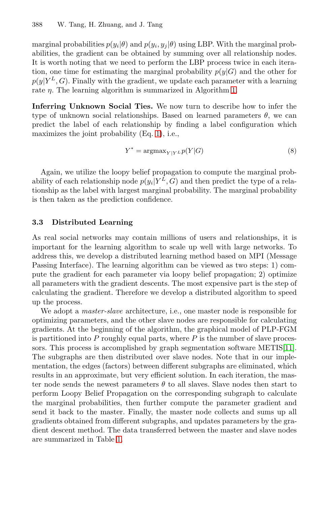marginal probabilities  $p(y_i|\theta)$  and  $p(y_i, y_j|\theta)$  using LBP. With the marginal probabilities, the gradient can be obtained by summing over all relationship nodes. It is worth noting that we need to perform the LBP process twice in each iteration, one time for estimating the marginal probability  $p(y|G)$  and the other for  $p(y|Y^L, G)$ . Finally with the gradient, we update each parameter with a learning rate  $\eta$ . The learning algorithm is summarized in Algorithm [1.](#page-6-1)

**Inferring Unknown Social Ties.** We now turn to describe how to infer the type of unknown social relationships. Based on learned parameters  $\theta$ , we can predict the label of each relationship by finding a label configuration which maximizes the joint probability (Eq. [1\)](#page-5-0), i.e.,

$$
Y^* = \operatorname{argmax}_{Y|Y} p(Y|G) \tag{8}
$$

Again, we utilize the loopy belief propagation to compute the marginal probability of each relationship node  $p(y_i|Y^L, G)$  and then predict the type of a relationship as the label with largest marginal probability. The marginal probability is then taken as the prediction confidence.

#### **3.3 Distributed Learning**

As real social networks may contain millions of users and relationships, it is important for the learning algorithm to scale up well with large networks. To address this, we develop a distributed learning method based on MPI (Message Passing Interface). The learning algorithm can be viewed as two steps: 1) compute the gradient for each parameter via loopy belief propagation; 2) optimize all parameters with the gradient descents. The most expensive part is the step of calculating the gradient. Therefore we develop a distributed algorithm to speed up the process.

We adopt a *master-slave* architecture, i.e., one master node is responsible for optimizing parameters, and the other slave nodes are responsible for calculating gradients. At the beginning of the algorithm, the graphical model of PLP-FGM is partitioned into  $P$  roughly equal parts, where  $P$  is the number of slave processors. This process is accomplished by graph segmentation software METIS[\[11\]](#page-14-12). The subgraphs are then distributed over slave nodes. Note that in our implementation, the edges (factors) between different subgraphs are eliminated, which results in an approximate, but very efficient solution. In each iteration, the master node sends the newest parameters  $\theta$  to all slaves. Slave nodes then start to perform Loopy Belief Propagation on the corresponding subgraph to calculate the marginal probabilities, then further compute the parameter gradient and send it back to the master. Finally, the master node collects and sums up all gradients obtained from different subgraphs, and updates parameters by the gradient descent method. The data transferred between the master and slave nodes are summarized in Table [1.](#page-8-1)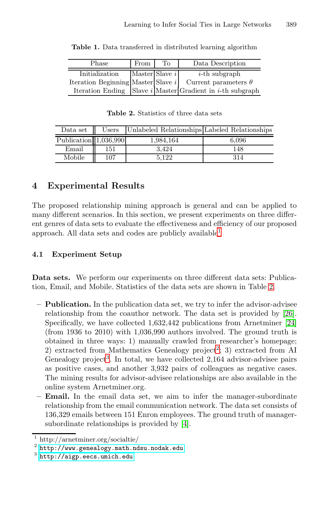| Phase | From | Ί'n | Data Description                                                                                                                                                                                                                                                   |
|-------|------|-----|--------------------------------------------------------------------------------------------------------------------------------------------------------------------------------------------------------------------------------------------------------------------|
|       |      |     | $\fbox{\parbox{0.9\linewidth}{\noindent Initalization} {\parbox{0.9\linewidth}{\noindent Master } {\embox{Slave} $i$} \quad i$ \emph{-th subgraph} {\embox{Iteration Beginning}} {\embox{Master}} \ \emph{Slave} $i$} \quad {\embox{Current parameters} $\theta$}$ |
|       |      |     |                                                                                                                                                                                                                                                                    |
|       |      |     | Iteration Ending Slave i Master Gradient in $i$ -th subgraph                                                                                                                                                                                                       |
|       |      |     |                                                                                                                                                                                                                                                                    |

<span id="page-8-1"></span>**Table 1.** Data transferred in distributed learning algorithm

**Table 2.** Statistics of three data sets

<span id="page-8-3"></span>

| Data set              | Users | Unlabeled Relationships Labeled Relationships |       |
|-----------------------|-------|-----------------------------------------------|-------|
| Publication 1.036,990 |       | 1,984,164                                     | 6.096 |
| Email                 | 151   | 3.424                                         | 148   |
| Mobile                | 107   | 5.122                                         | 314   |

### <span id="page-8-0"></span>**4 Experimental Results**

The proposed relationship mining approach is general and can be applied to many different scenarios. In this section, we present experiments on three different genres of data sets to evaluate the effectiveness and efficiency of our proposed approach. All data sets and codes are publicly available[1](#page-8-2)

#### **4.1 Experiment Setup**

**Data sets.** We perform our experiments on three different data sets: Publication, Email, and Mobile. Statistics of the data sets are shown in Table [2.](#page-8-3)

- **Publication.** In the publication data set, we try to infer the advisor-advisee relationship from the coauthor network. The data set is provided by [\[26\]](#page-15-4). Specifically, we have collected 1,632,442 publications from Arnetminer [\[24\]](#page-15-6) (from 1936 to 2010) with 1,036,990 authors involved. The ground truth is obtained in three ways: 1) manually crawled from researcher's homepage; [2](#page-8-4)) extracted from Mathematics Genealogy project<sup>2</sup>; 3) extracted from AI Genealogy project<sup>[3](#page-8-5)</sup>. In total, we have collected  $2,164$  advisor-advisee pairs as positive cases, and another 3,932 pairs of colleagues as negative cases. The mining results for advisor-advisee relationships are also available in the online system Arnetminer.org.
- **Email.** In the email data set, we aim to infer the manager-subordinate relationship from the email communication network. The data set consists of 136,329 emails between 151 Enron employees. The ground truth of managersubordinate relationships is provided by [\[4\]](#page-14-7).

<span id="page-8-2"></span>

 $\frac{1}{2}$  http://arnetminer.org/socialtie/<br> $\frac{2}{3}$  <http://www.genealogy.math.ndsu.nodak.edu> 3<br>3 <http://aigp.eecs.umich.edu>

<span id="page-8-5"></span><span id="page-8-4"></span>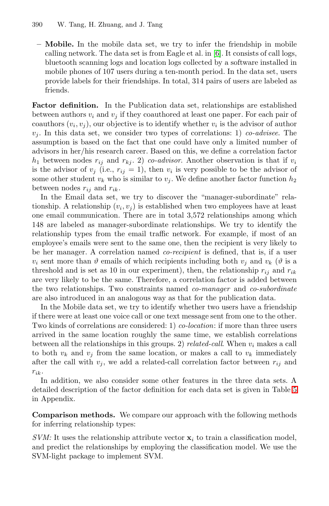**– Mobile.** In the mobile data set, we try to infer the friendship in mobile calling network. The data set is from Eagle et al. in [\[6\]](#page-14-13). It consists of call logs, bluetooth scanning logs and location logs collected by a software installed in mobile phones of 107 users during a ten-month period. In the data set, users provide labels for their friendships. In total, 314 pairs of users are labeled as friends.

**Factor definition.** In the Publication data set, relationships are established between authors  $v_i$  and  $v_j$  if they coauthored at least one paper. For each pair of coauthors  $(v_i, v_j)$ , our objective is to identify whether  $v_i$  is the advisor of author  $v_j$ . In this data set, we consider two types of correlations: 1) *co-advisee*. The assumption is based on the fact that one could have only a limited number of advisors in her/his research career. Based on this, we define a correlation factor  $h_1$  between nodes  $r_{ij}$  and  $r_{ki}$ . 2) *co-advisor*. Another observation is that if  $v_i$ is the advisor of  $v_j$  (i.e.,  $r_{ij} = 1$ ), then  $v_i$  is very possible to be the advisor of some other student  $v_k$  who is similar to  $v_j$ . We define another factor function  $h_2$ between nodes  $r_{ij}$  and  $r_{ik}$ .

In the Email data set, we try to discover the "manager-subordinate" relationship. A relationship  $(v_i, v_j)$  is established when two employees have at least one email communication. There are in total 3,572 relationships among which 148 are labeled as manager-subordinate relationships. We try to identify the relationship types from the email traffic network. For example, if most of an employee's emails were sent to the same one, then the recipient is very likely to be her manager. A correlation named *co-recipient* is defined, that is, if a user  $v_i$  sent more than  $\vartheta$  emails of which recipients including both  $v_j$  and  $v_k$  ( $\vartheta$  is a threshold and is set as 10 in our experiment), then, the relationship  $r_{ij}$  and  $r_{ik}$ are very likely to be the same. Therefore, a correlation factor is added between the two relationships. Two constraints named *co-manager* and *co-subordinate* are also introduced in an analogous way as that for the publication data.

In the Mobile data set, we try to identify whether two users have a friendship if there were at least one voice call or one text message sent from one to the other. Two kinds of correlations are considered: 1) *co-location*: if more than three users arrived in the same location roughly the same time, we establish correlations between all the relationships in this groups. 2) *related-call*. When  $v_i$  makes a call to both  $v_k$  and  $v_j$  from the same location, or makes a call to  $v_k$  immediately after the call with  $v_j$ , we add a related-call correlation factor between  $r_{ij}$  and  $r_{ik}$ .

In addition, we also consider some other features in the three data sets. A detailed description of the factor definition for each data set is given in Table [5](#page-16-1) in Appendix.

**Comparison methods.** We compare our approach with the following methods for inferring relationship types:

*SVM:* It uses the relationship attribute vector  $\mathbf{x}_i$  to train a classification model, and predict the relationships by employing the classification model. We use the SVM-light package to implement SVM.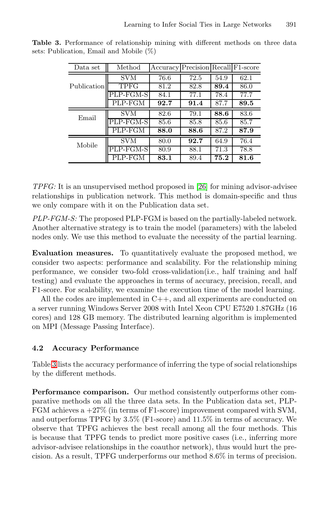| Data set    | Method      |      | Accuracy Precision Recall F1-score |      |      |
|-------------|-------------|------|------------------------------------|------|------|
| Publication | <b>SVM</b>  | 76.6 | 72.5                               | 54.9 | 62.1 |
|             | <b>TPFG</b> | 81.2 | 82.8                               | 89.4 | 86.0 |
|             | PLP-FGM-S   | 84.1 | 77.1                               | 78.4 | 77.7 |
|             | PLP-FGM     | 92.7 | 91.4                               | 87.7 | 89.5 |
| Email       | <b>SVM</b>  | 82.6 | 79.1                               | 88.6 | 83.6 |
|             | PLP-FGM-S   | 85.6 | 85.8                               | 85.6 | 85.7 |
|             | PLP-FGM     | 88.0 | 88.6                               | 87.2 | 87.9 |
| Mobile      | <b>SVM</b>  | 80.0 | 92.7                               | 64.9 | 76.4 |
|             | PLP-FGM-S   | 80.9 | 88.1                               | 71.3 | 78.8 |
|             | PLP-FGM     | 83.1 | 89.4                               | 75.2 | 81.6 |
|             |             |      |                                    |      |      |

<span id="page-10-0"></span>**Table 3.** Performance of relationship mining with different methods on three data sets: Publication, Email and Mobile (%)

*TPFG:* It is an unsupervised method proposed in [\[26\]](#page-15-4) for mining advisor-advisee relationships in publication network. This method is domain-specific and thus we only compare with it on the Publication data set.

*PLP-FGM-S:* The proposed PLP-FGM is based on the partially-labeled network. Another alternative strategy is to train the model (parameters) with the labeled nodes only. We use this method to evaluate the necessity of the partial learning.

**Evaluation measures.** To quantitatively evaluate the proposed method, we consider two aspects: performance and scalability. For the relationship mining performance, we consider two-fold cross-validation(i.e., half training and half testing) and evaluate the approaches in terms of accuracy, precision, recall, and F1-score. For scalability, we examine the execution time of the model learning.

All the codes are implemented in  $C++$ , and all experiments are conducted on a server running Windows Server 2008 with Intel Xeon CPU E7520 1.87GHz (16 cores) and 128 GB memory. The distributed learning algorithm is implemented on MPI (Message Passing Interface).

#### **4.2 Accuracy Performance**

Table [3](#page-10-0) lists the accuracy performance of inferring the type of social relationships by the different methods.

**Performance comparison.** Our method consistently outperforms other comparative methods on all the three data sets. In the Publication data set, PLP-FGM achieves a  $+27\%$  (in terms of F1-score) improvement compared with SVM, and outperforms TPFG by 3.5% (F1-score) and 11.5% in terms of accuracy. We observe that TPFG achieves the best recall among all the four methods. This is because that TPFG tends to predict more positive cases (i.e., inferring more advisor-advisee relationships in the coauthor network), thus would hurt the precision. As a result, TPFG underperforms our method 8.6% in terms of precision.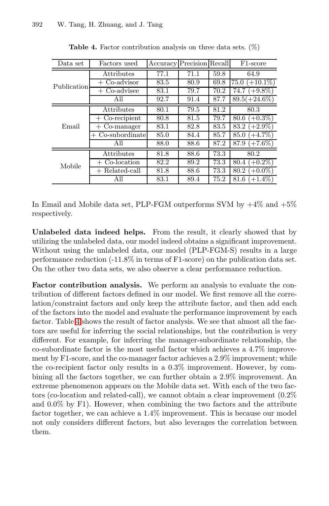<span id="page-11-0"></span>

| Data set    | Factors used     | Accuracy | Precision | Recall | F <sub>1</sub> -score |
|-------------|------------------|----------|-----------|--------|-----------------------|
| Publication | Attributes       | 77.1     | 71.1      | 59.8   | 64.9                  |
|             | $+$ Co-advisor   | 83.5     | 80.9      | 69.8   | $+10.1\%$<br>75.0     |
|             | $+$ Co-advisee   | 83.1     | 79.7      | 70.2   | 74.7<br>$(+9.8\%)$    |
|             | All              | 92.7     | 91.4      | 87.7   | $89.5(+24.6\%)$       |
| Email       | Attributes       | 80.1     | 79.5      | 81.2   | 80.3                  |
|             | $+$ Co-recipient | 80.8     | 81.5      | 79.7   | $(+0.3\%)$<br>80.6    |
|             | $+$ Co-manager   | 83.1     | 82.8      | 83.5   | $83.2 (+2.9\%)$       |
|             | Co-subordinate   | 85.0     | 84.4      | 85.7   | $(+4.7\%)$<br>85.0    |
|             | All              | 88.0     | 88.6      | 87.2   | $87.9 (+7.6\%)$       |
| Mobile      | Attributes       | 81.8     | 88.6      | 73.3   | 80.2                  |
|             | $+$ Co-location  | 82.2     | 89.2      | 73.3   | $80.4 (+0.2\%)$       |
|             | $+$ Related-call | 81.8     | 88.6      | 73.3   | $80.2 (+0.0\%)$       |
|             | All              | 83.1     | 89.4      | 75.2   | 81.6<br>$(+1.4\%)$    |

**Table 4.** Factor contribution analysis on three data sets. (%)

In Email and Mobile data set, PLP-FGM outperforms SVM by  $+4\%$  and  $+5\%$ respectively.

**Unlabeled data indeed helps.** From the result, it clearly showed that by utilizing the unlabeled data, our model indeed obtains a significant improvement. Without using the unlabeled data, our model (PLP-FGM-S) results in a large performance reduction (-11.8% in terms of F1-score) on the publication data set. On the other two data sets, we also observe a clear performance reduction.

**Factor contribution analysis.** We perform an analysis to evaluate the contribution of different factors defined in our model. We first remove all the correlation/constraint factors and only keep the attribute factor, and then add each of the factors into the model and evaluate the performance improvement by each factor. Table [4](#page-11-0) shows the result of factor analysis. We see that almost all the factors are useful for inferring the social relationships, but the contribution is very different. For example, for inferring the manager-subordinate relationship, the co-subordinate factor is the most useful factor which achieves a 4.7% improvement by F1-score, and the co-manager factor achieves a 2.9% improvement; while the co-recipient factor only results in a 0.3% improvement. However, by combining all the factors together, we can further obtain a 2.9% improvement. An extreme phenomenon appears on the Mobile data set. With each of the two factors (co-location and related-call), we cannot obtain a clear improvement (0.2% and 0.0% by F1). However, when combining the two factors and the attribute factor together, we can achieve a 1.4% improvement. This is because our model not only considers different factors, but also leverages the correlation between them.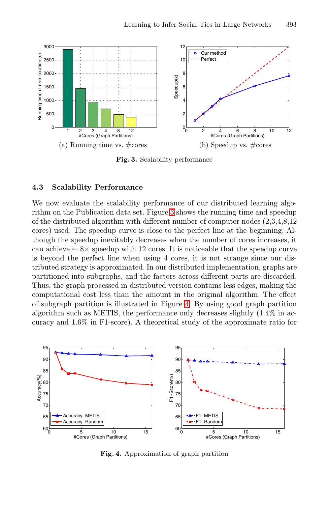<span id="page-12-0"></span>

**Fig. 3.** Scalability performance

#### **4.3 Scalability Performance**

We now evaluate the scalability performance of our distributed learning algorithm on the Publication data set. Figure [3](#page-12-0) shows the running time and speedup of the distributed algorithm with different number of computer nodes (2,3,4,8,12 cores) used. The speedup curve is close to the perfect line at the beginning. Although the speedup inevitably decreases when the number of cores increases, it can achieve  $\sim 8 \times$  speedup with 12 cores. It is noticeable that the speedup curve is beyond the perfect line when using 4 cores, it is not strange since our distributed strategy is approximated. In our distributed implementation, graphs are partitioned into subgraphs, and the factors across different parts are discarded. Thus, the graph processed in distributed version contains less edges, making the computational cost less than the amount in the original algorithm. The effect of subgraph partition is illustrated in Figure [4.](#page-12-1) By using good graph partition algorithm such as METIS, the performance only decreases slightly (1.4% in accuracy and 1.6% in F1-score). A theoretical study of the approximate ratio for

<span id="page-12-1"></span>

**Fig. 4.** Approximation of graph partition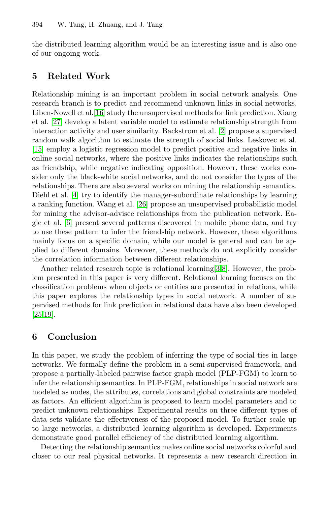the distributed learning algorithm would be an interesting issue and is also one of our ongoing work.

### <span id="page-13-0"></span>**5 Related Work**

Relationship mining is an important problem in social network analysis. One research branch is to predict and recommend unknown links in social networks. Liben-Nowell et al. [\[16\]](#page-14-14) study the unsupervised methods for link prediction. Xiang et al. [\[27\]](#page-15-7) develop a latent variable model to estimate relationship strength from interaction activity and user similarity. Backstrom et al. [\[2\]](#page-14-15) propose a supervised random walk algorithm to estimate the strength of social links. Leskovec et al. [\[15\]](#page-14-16) employ a logistic regression model to predict positive and negative links in online social networks, where the positive links indicates the relationships such as friendship, while negative indicating opposition. However, these works consider only the black-white social networks, and do not consider the types of the relationships. There are also several works on mining the relationship semantics. Diehl et al. [\[4\]](#page-14-7) try to identify the manager-subordinate relationships by learning a ranking function. Wang et al. [\[26\]](#page-15-4) propose an unsupervised probabilistic model for mining the advisor-advisee relationships from the publication network. Eagle et al. [\[6\]](#page-14-13) present several patterns discovered in mobile phone data, and try to use these pattern to infer the friendship network. However, these algorithms mainly focus on a specific domain, while our model is general and can be applied to different domains. Moreover, these methods do not explicitly consider the correlation information between different relationships.

Another related research topic is relational learning[\[3](#page-14-10)[,8\]](#page-14-17). However, the problem presented in this paper is very different. Relational learning focuses on the classification problems when objects or entities are presented in relations, while this paper explores the relationship types in social network. A number of supervised methods for link prediction in relational data have also been developed [\[25,](#page-15-8)[19\]](#page-14-18).

### <span id="page-13-1"></span>**6 Conclusion**

In this paper, we study the problem of inferring the type of social ties in large networks. We formally define the problem in a semi-supervised framework, and propose a partially-labeled pairwise factor graph model (PLP-FGM) to learn to infer the relationship semantics. In PLP-FGM, relationships in social network are modeled as nodes, the attributes, correlations and global constraints are modeled as factors. An efficient algorithm is proposed to learn model parameters and to predict unknown relationships. Experimental results on three different types of data sets validate the effectiveness of the proposed model. To further scale up to large networks, a distributed learning algorithm is developed. Experiments demonstrate good parallel efficiency of the distributed learning algorithm.

Detecting the relationship semantics makes online social networks colorful and closer to our real physical networks. It represents a new research direction in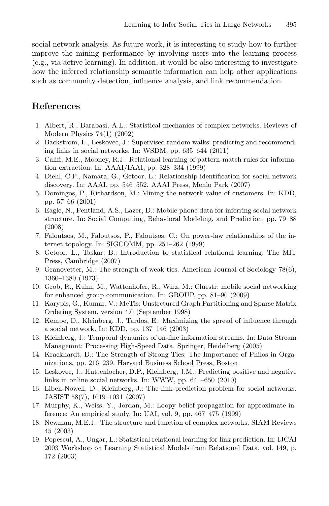social network analysis. As future work, it is interesting to study how to further improve the mining performance by involving users into the learning process (e.g., via active learning). In addition, it would be also interesting to investigate how the inferred relationship semantic information can help other applications such as community detection, influence analysis, and link recommendation.

### <span id="page-14-0"></span>**References**

- 1. Albert, R., Barabasi, A.L.: Statistical mechanics of complex networks. Reviews of Modern Physics 74(1) (2002)
- <span id="page-14-15"></span>2. Backstrom, L., Leskovec, J.: Supervised random walks: predicting and recommending links in social networks. In: WSDM, pp. 635–644 (2011)
- <span id="page-14-10"></span>3. Califf, M.E., Mooney, R.J.: Relational learning of pattern-match rules for information extraction. In: AAAI/IAAI, pp. 328–334 (1999)
- <span id="page-14-7"></span>4. Diehl, C.P., Namata, G., Getoor, L.: Relationship identification for social network discovery. In: AAAI, pp. 546–552. AAAI Press, Menlo Park (2007)
- <span id="page-14-4"></span>5. Domingos, P., Richardson, M.: Mining the network value of customers. In: KDD, pp. 57–66 (2001)
- <span id="page-14-13"></span>6. Eagle, N., Pentland, A.S., Lazer, D.: Mobile phone data for inferring social network structure. In: Social Computing, Behavioral Modeling, and Prediction, pp. 79–88 (2008)
- <span id="page-14-1"></span>7. Faloutsos, M., Faloutsos, P., Faloutsos, C.: On power-law relationships of the internet topology. In: SIGCOMM, pp. 251–262 (1999)
- <span id="page-14-17"></span>8. Getoor, L., Taskar, B.: Introduction to statistical relational learning. The MIT Press, Cambridge (2007)
- <span id="page-14-8"></span>9. Granovetter, M.: The strength of weak ties. American Journal of Sociology 78(6), 1360–1380 (1973)
- <span id="page-14-6"></span>10. Grob, R., Kuhn, M., Wattenhofer, R., Wirz, M.: Cluestr: mobile social networking for enhanced group communication. In: GROUP, pp. 81–90 (2009)
- <span id="page-14-12"></span>11. Karypis, G., Kumar, V.: MeTis: Unstrctured Graph Partitioning and Sparse Matrix Ordering System, version 4.0 (September 1998)
- <span id="page-14-5"></span>12. Kempe, D., Kleinberg, J., Tardos, E.: Maximizing the spread of influence through a social network. In: KDD, pp. 137–146 (2003)
- <span id="page-14-3"></span>13. Kleinberg, J.: Temporal dynamics of on-line information streams. In: Data Stream Managemnt: Processing High-Speed Data. Springer, Heidelberg (2005)
- <span id="page-14-9"></span>14. Krackhardt, D.: The Strength of Strong Ties: The Importance of Philos in Organizations, pp. 216–239. Harvard Business School Press, Boston
- <span id="page-14-16"></span>15. Leskovec, J., Huttenlocher, D.P., Kleinberg, J.M.: Predicting positive and negative links in online social networks. In: WWW, pp. 641–650 (2010)
- <span id="page-14-14"></span>16. Liben-Nowell, D., Kleinberg, J.: The link-prediction problem for social networks. JASIST 58(7), 1019–1031 (2007)
- <span id="page-14-11"></span>17. Murphy, K., Weiss, Y., Jordan, M.: Loopy belief propagation for approximate inference: An empirical study. In: UAI, vol. 9, pp. 467–475 (1999)
- <span id="page-14-2"></span>18. Newman, M.E.J.: The structure and function of complex networks. SIAM Reviews 45 (2003)
- <span id="page-14-18"></span>19. Popescul, A., Ungar, L.: Statistical relational learning for link prediction. In: IJCAI 2003 Workshop on Learning Statistical Models from Relational Data, vol. 149, p. 172 (2003)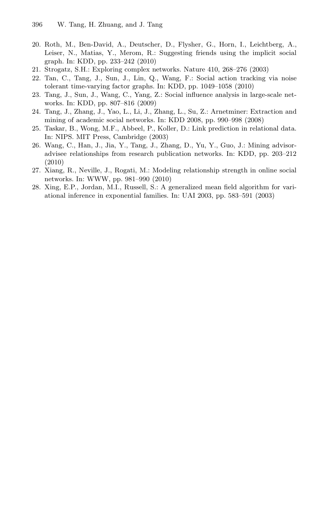- <span id="page-15-2"></span>20. Roth, M., Ben-David, A., Deutscher, D., Flysher, G., Horn, I., Leichtberg, A., Leiser, N., Matias, Y., Merom, R.: Suggesting friends using the implicit social graph. In: KDD, pp. 233–242 (2010)
- <span id="page-15-3"></span><span id="page-15-0"></span>21. Strogatz, S.H.: Exploring complex networks. Nature 410, 268–276 (2003)
- 22. Tan, C., Tang, J., Sun, J., Lin, Q., Wang, F.: Social action tracking via noise tolerant time-varying factor graphs. In: KDD, pp. 1049–1058 (2010)
- <span id="page-15-1"></span>23. Tang, J., Sun, J., Wang, C., Yang, Z.: Social influence analysis in large-scale networks. In: KDD, pp. 807–816 (2009)
- <span id="page-15-6"></span>24. Tang, J., Zhang, J., Yao, L., Li, J., Zhang, L., Su, Z.: Arnetminer: Extraction and mining of academic social networks. In: KDD 2008, pp. 990–998 (2008)
- <span id="page-15-8"></span>25. Taskar, B., Wong, M.F., Abbeel, P., Koller, D.: Link prediction in relational data. In: NIPS. MIT Press, Cambridge (2003)
- <span id="page-15-4"></span>26. Wang, C., Han, J., Jia, Y., Tang, J., Zhang, D., Yu, Y., Guo, J.: Mining advisoradvisee relationships from research publication networks. In: KDD, pp. 203–212 (2010)
- <span id="page-15-7"></span>27. Xiang, R., Neville, J., Rogati, M.: Modeling relationship strength in online social networks. In: WWW, pp. 981–990 (2010)
- <span id="page-15-5"></span>28. Xing, E.P., Jordan, M.I., Russell, S.: A generalized mean field algorithm for variational inference in exponential families. In: UAI 2003, pp. 583–591 (2003)